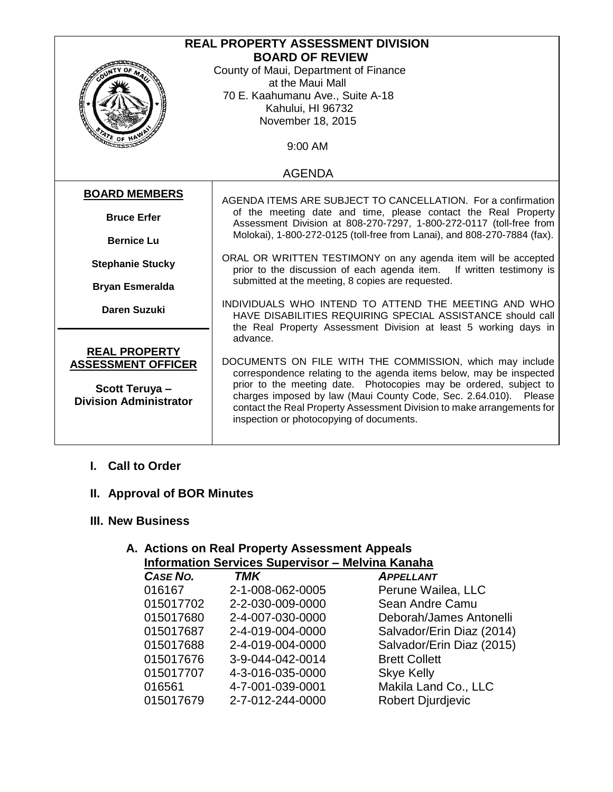| <b>REAL PROPERTY ASSESSMENT DIVISION</b> |                                                                                                                                                                                                                                                                                   |  |
|------------------------------------------|-----------------------------------------------------------------------------------------------------------------------------------------------------------------------------------------------------------------------------------------------------------------------------------|--|
| <b>BOARD OF REVIEW</b>                   |                                                                                                                                                                                                                                                                                   |  |
|                                          | County of Maui, Department of Finance                                                                                                                                                                                                                                             |  |
|                                          | at the Maui Mall                                                                                                                                                                                                                                                                  |  |
| <b>CONTROL</b>                           | 70 E. Kaahumanu Ave., Suite A-18                                                                                                                                                                                                                                                  |  |
|                                          | Kahului, HI 96732                                                                                                                                                                                                                                                                 |  |
|                                          | November 18, 2015                                                                                                                                                                                                                                                                 |  |
| $AT_E$ OF H                              |                                                                                                                                                                                                                                                                                   |  |
|                                          | 9:00 AM                                                                                                                                                                                                                                                                           |  |
|                                          |                                                                                                                                                                                                                                                                                   |  |
| <b>AGENDA</b>                            |                                                                                                                                                                                                                                                                                   |  |
| <b>BOARD MEMBERS</b>                     |                                                                                                                                                                                                                                                                                   |  |
|                                          | AGENDA ITEMS ARE SUBJECT TO CANCELLATION. For a confirmation<br>of the meeting date and time, please contact the Real Property<br>Assessment Division at 808-270-7297, 1-800-272-0117 (toll-free from<br>Molokai), 1-800-272-0125 (toll-free from Lanai), and 808-270-7884 (fax). |  |
| <b>Bruce Erfer</b>                       |                                                                                                                                                                                                                                                                                   |  |
|                                          |                                                                                                                                                                                                                                                                                   |  |
| <b>Bernice Lu</b>                        |                                                                                                                                                                                                                                                                                   |  |
|                                          | ORAL OR WRITTEN TESTIMONY on any agenda item will be accepted                                                                                                                                                                                                                     |  |
| <b>Stephanie Stucky</b>                  | prior to the discussion of each agenda item.<br>If written testimony is                                                                                                                                                                                                           |  |
|                                          | submitted at the meeting, 8 copies are requested.                                                                                                                                                                                                                                 |  |
| <b>Bryan Esmeralda</b>                   |                                                                                                                                                                                                                                                                                   |  |
| <b>Daren Suzuki</b>                      | INDIVIDUALS WHO INTEND TO ATTEND THE MEETING AND WHO                                                                                                                                                                                                                              |  |
|                                          | HAVE DISABILITIES REQUIRING SPECIAL ASSISTANCE should call                                                                                                                                                                                                                        |  |
|                                          | the Real Property Assessment Division at least 5 working days in                                                                                                                                                                                                                  |  |
|                                          | advance.                                                                                                                                                                                                                                                                          |  |
| <b>REAL PROPERTY</b>                     |                                                                                                                                                                                                                                                                                   |  |
| <b>ASSESSMENT OFFICER</b>                | DOCUMENTS ON FILE WITH THE COMMISSION, which may include<br>correspondence relating to the agenda items below, may be inspected                                                                                                                                                   |  |
|                                          | prior to the meeting date. Photocopies may be ordered, subject to                                                                                                                                                                                                                 |  |
| Scott Teruya-                            | charges imposed by law (Maui County Code, Sec. 2.64.010). Please                                                                                                                                                                                                                  |  |
| <b>Division Administrator</b>            | contact the Real Property Assessment Division to make arrangements for                                                                                                                                                                                                            |  |
|                                          | inspection or photocopying of documents.                                                                                                                                                                                                                                          |  |
|                                          |                                                                                                                                                                                                                                                                                   |  |
|                                          |                                                                                                                                                                                                                                                                                   |  |

#### **I. Call to Order**

## **II. Approval of BOR Minutes**

#### **III. New Business**

#### **A. Actions on Real Property Assessment Appeals Information Services Supervisor – Melvina Kanaha**

| <b>CASE NO.</b> | <b>TMK</b>       | <b>APPELLANT</b>          |
|-----------------|------------------|---------------------------|
| 016167          | 2-1-008-062-0005 | Perune Wailea, LLC        |
| 015017702       | 2-2-030-009-0000 | Sean Andre Camu           |
| 015017680       | 2-4-007-030-0000 | Deborah/James Antonelli   |
| 015017687       | 2-4-019-004-0000 | Salvador/Erin Diaz (2014) |
| 015017688       | 2-4-019-004-0000 | Salvador/Erin Diaz (2015) |
| 015017676       | 3-9-044-042-0014 | <b>Brett Collett</b>      |
| 015017707       | 4-3-016-035-0000 | <b>Skye Kelly</b>         |
| 016561          | 4-7-001-039-0001 | Makila Land Co., LLC      |
| 015017679       | 2-7-012-244-0000 | <b>Robert Djurdjevic</b>  |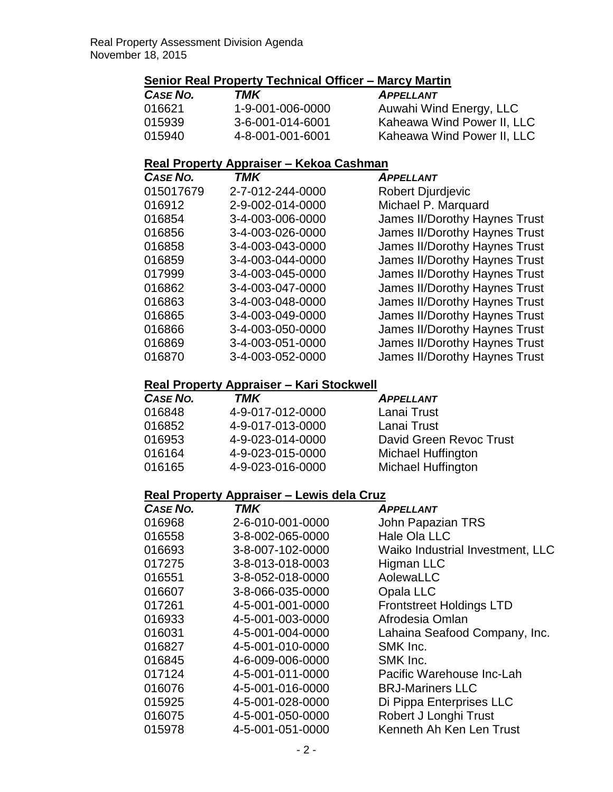## **Senior Real Property Technical Officer – Marcy Martin**

| CASE NO. | TMK              | <b>APPELLANT</b>           |
|----------|------------------|----------------------------|
| 016621   | 1-9-001-006-0000 | Auwahi Wind Energy, LLC    |
| 015939   | 3-6-001-014-6001 | Kaheawa Wind Power II, LLC |
| 015940   | 4-8-001-001-6001 | Kaheawa Wind Power II, LLC |

## **Real Property Appraiser – Kekoa Cashman**

| CASE NO.  | <b>TMK</b>       | <b>APPELLANT</b>                     |
|-----------|------------------|--------------------------------------|
| 015017679 | 2-7-012-244-0000 | <b>Robert Djurdjevic</b>             |
| 016912    | 2-9-002-014-0000 | Michael P. Marquard                  |
| 016854    | 3-4-003-006-0000 | James II/Dorothy Haynes Trust        |
| 016856    | 3-4-003-026-0000 | <b>James II/Dorothy Haynes Trust</b> |
| 016858    | 3-4-003-043-0000 | <b>James II/Dorothy Haynes Trust</b> |
| 016859    | 3-4-003-044-0000 | James II/Dorothy Haynes Trust        |
| 017999    | 3-4-003-045-0000 | <b>James II/Dorothy Haynes Trust</b> |
| 016862    | 3-4-003-047-0000 | <b>James II/Dorothy Haynes Trust</b> |
| 016863    | 3-4-003-048-0000 | <b>James II/Dorothy Haynes Trust</b> |
| 016865    | 3-4-003-049-0000 | <b>James II/Dorothy Haynes Trust</b> |
| 016866    | 3-4-003-050-0000 | James II/Dorothy Haynes Trust        |
| 016869    | 3-4-003-051-0000 | <b>James II/Dorothy Haynes Trust</b> |
| 016870    | 3-4-003-052-0000 | <b>James II/Dorothy Haynes Trust</b> |

#### **Real Property Appraiser – Kari Stockwell**

| CASE NO. | TMK              | <b>APPELLANT</b>          |
|----------|------------------|---------------------------|
| 016848   | 4-9-017-012-0000 | Lanai Trust               |
| 016852   | 4-9-017-013-0000 | Lanai Trust               |
| 016953   | 4-9-023-014-0000 | David Green Revoc Trust   |
| 016164   | 4-9-023-015-0000 | <b>Michael Huffington</b> |
| 016165   | 4-9-023-016-0000 | <b>Michael Huffington</b> |

#### **Real Property Appraiser – Lewis dela Cruz**

| CASE NO. | TMK              | <b>APPELLANT</b>                 |
|----------|------------------|----------------------------------|
| 016968   | 2-6-010-001-0000 | John Papazian TRS                |
| 016558   | 3-8-002-065-0000 | Hale Ola LLC                     |
| 016693   | 3-8-007-102-0000 | Waiko Industrial Investment, LLC |
| 017275   | 3-8-013-018-0003 | <b>Higman LLC</b>                |
| 016551   | 3-8-052-018-0000 | AolewaLLC                        |
| 016607   | 3-8-066-035-0000 | Opala LLC                        |
| 017261   | 4-5-001-001-0000 | <b>Frontstreet Holdings LTD</b>  |
| 016933   | 4-5-001-003-0000 | Afrodesia Omlan                  |
| 016031   | 4-5-001-004-0000 | Lahaina Seafood Company, Inc.    |
| 016827   | 4-5-001-010-0000 | SMK Inc.                         |
| 016845   | 4-6-009-006-0000 | SMK Inc.                         |
| 017124   | 4-5-001-011-0000 | Pacific Warehouse Inc-Lah        |
| 016076   | 4-5-001-016-0000 | <b>BRJ-Mariners LLC</b>          |
| 015925   | 4-5-001-028-0000 | Di Pippa Enterprises LLC         |
| 016075   | 4-5-001-050-0000 | Robert J Longhi Trust            |
| 015978   | 4-5-001-051-0000 | Kenneth Ah Ken Len Trust         |
|          |                  |                                  |